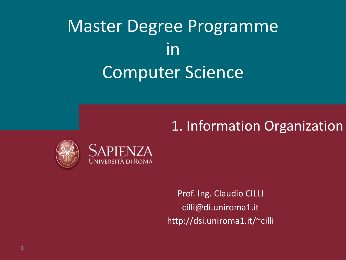# Master Degree Programme in Computer Science

#### $\mathbb{E}[\mathbf{E}(\mathbf{E})] = \mathbb{E}[\mathbf{E}(\mathbf{E})]$  and  $\mathbb{E}[\mathbf{E}(\mathbf{E})]$  and  $\mathbb{E}[\mathbf{E}(\mathbf{E})]$ 1. Information Organization





Prof. Ing. Claudio CILLI cilli@di.uniroma1.it http://dsi.uniroma1.it/~cilli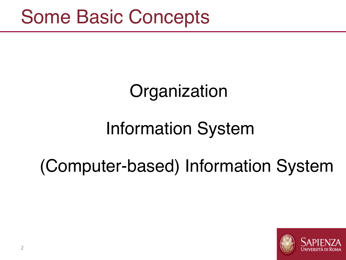# **Organization**

# Information System

# (Computer-based) Information System

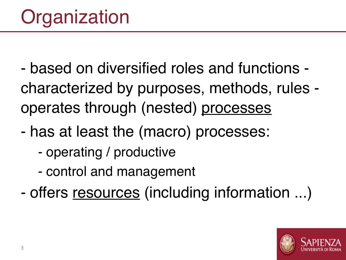- ‐ based on diversified roles and functions ‐ characterized by purposes, methods, rules ‐ operates through (nested) processes
- ‐ has at least the (macro) processes:
	- ‐ operating / productive
	- ‐ control and management
- offers resources (including information ...)

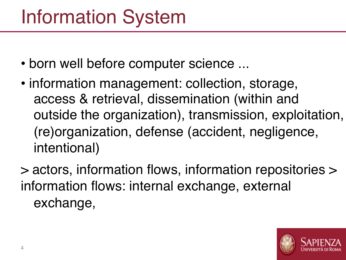# Information System

- born well before computer science ...
- information management: collection, storage, access & retrieval, dissemination (within and outside the organization), transmission, exploitation, (re)organization, defense (accident, negligence, intentional)
- > actors, information flows, information repositories > information flows: internal exchange, external exchange,

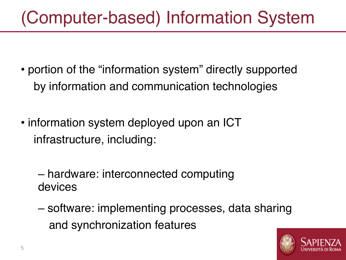### (Computer-based) Information System

- portion of the "information system" directly supported by information and communication technologies
- information system deployed upon an ICT infrastructure, including:

– hardware: interconnected computing devices

– software: implementing processes, data sharing and synchronization features

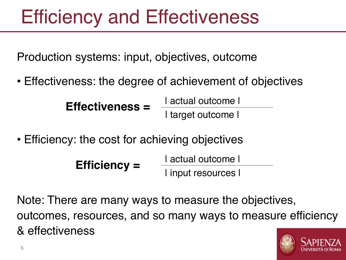# Efficiency and Effectiveness

Production systems: input, objectives, outcome

• Effectiveness: the degree of achievement of objectives

**Effectiveness =**  $\frac{1 \text{ actual outcome}}{1}$ 

| target outcome |

• Efficiency: the cost for achieving objectives

**Efficiency =**  $\frac{1 \text{ actual outcome}}{1 \cdot 1}$ 

| input resources |

Note: There are many ways to measure the objectives, outcomes, resources, and so many ways to measure efficiency & effectiveness

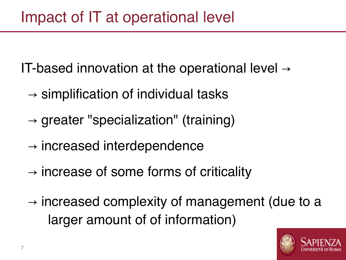IT-based innovation at the operational level  $\rightarrow$ 

- $\rightarrow$  simplification of individual tasks
- $\rightarrow$  greater "specialization" (training)
- $\rightarrow$  increased interdependence
- $\rightarrow$  increase of some forms of criticality
- $\rightarrow$  increased complexity of management (due to a larger amount of of information)

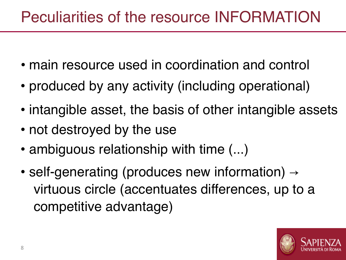#### Peculiarities of the resource INFORMATION

- main resource used in coordination and control
- produced by any activity (including operational)
- intangible asset, the basis of other intangible assets
- not destroyed by the use
- ambiguous relationship with time  $(...)$
- self-generating (produces new information) → virtuous circle (accentuates differences, up to a competitive advantage)

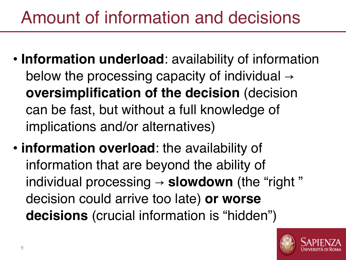### Amount of information and decisions

- **Information underload**: availability of information below the processing capacity of individual  $\rightarrow$ **oversimplification of the decision** (decision can be fast, but without a full knowledge of implications and/or alternatives)
- **information overload**: the availability of information that are beyond the ability of individual processing → **slowdown** (the "right " decision could arrive too late) **or worse decisions** (crucial information is "hidden")

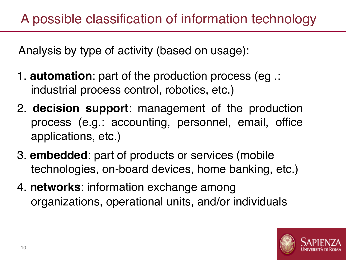Analysis by type of activity (based on usage):

- 1. **automation**: part of the production process (eg .: industrial process control, robotics, etc.)
- 2. **decision support**: management of the production process (e.g.: accounting, personnel, email, office applications, etc.)
- 3. **embedded**: part of products or services (mobile technologies, on-board devices, home banking, etc.)
- 4. **networks**: information exchange among organizations, operational units, and/or individuals

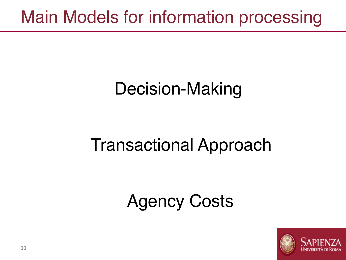#### Main Models for information processing

# Decision-Making

# Transactional Approach

### Agency Costs

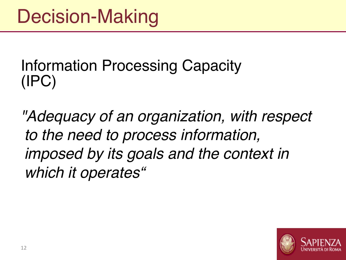#### Information Processing Capacity (IPC)

*"Adequacy of an organization, with respect to the need to process information, imposed by its goals and the context in which it operates"*

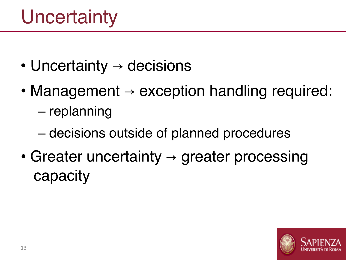# **Uncertainty**

- Uncertainty  $\rightarrow$  decisions
- Management  $\rightarrow$  exception handling required: – replanning
	- decisions outside of planned procedures
- Greater uncertainty  $\rightarrow$  greater processing capacity

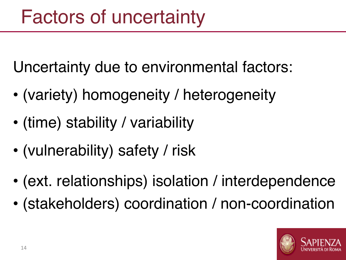Uncertainty due to environmental factors:

- (variety) homogeneity / heterogeneity
- (time) stability / variability
- (vulnerability) safety / risk
- (ext. relationships) isolation / interdependence
- (stakeholders) coordination / non-coordination

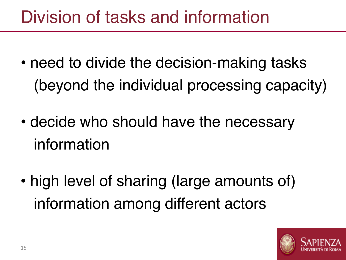### Division of tasks and information

- need to divide the decision-making tasks (beyond the individual processing capacity)
- decide who should have the necessary information
- high level of sharing (large amounts of) information among different actors

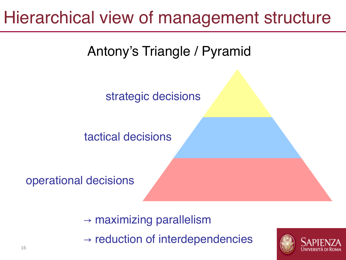#### Hierarchical view of management structure

Antony's Triangle / Pyramid

strategic decisions

tactical decisions

operational decisions

 $\rightarrow$  maximizing parallelism

 $\rightarrow$  reduction of interdependencies

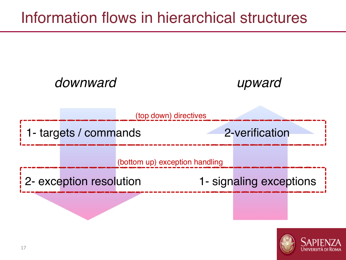#### Information flows in hierarchical structures



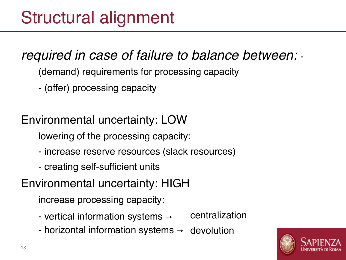#### *required in case of failure to balance between:* -

- (demand) requirements for processing capacity
- ‒ (offer) processing capacity

Environmental uncertainty: LOW

lowering of the processing capacity:

- ‒ increase reserve resources (slack resources)
- ‒ creating self-sufficient units

Environmental uncertainty: HIGH

increase processing capacity:

- vertical information systems  $\rightarrow$ centralization
- horizontal information systems  $\rightarrow$ devolution

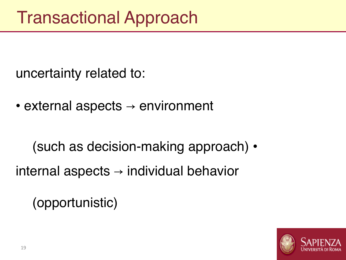uncertainty related to:

• external aspects  $\rightarrow$  environment

(such as decision-making approach) •

internal aspects  $\rightarrow$  individual behavior

(opportunistic)

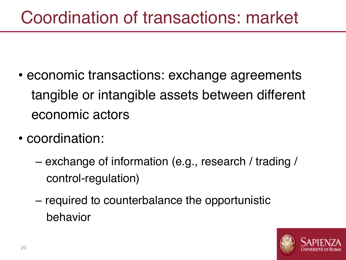#### Coordination of transactions: market

- economic transactions: exchange agreements tangible or intangible assets between different economic actors
- coordination:
	- exchange of information (e.g., research / trading / control-regulation)
	- required to counterbalance the opportunistic behavior

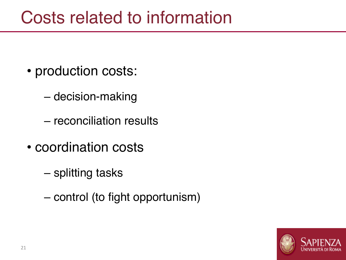#### Costs related to information

- production costs:
	- decision-making
	- reconciliation results
- coordination costs
	- splitting tasks
	- control (to fight opportunism)

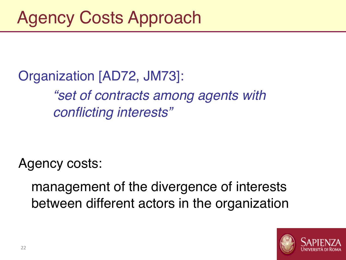Organization [AD72, JM73]:

*"set of contracts among agents with conflicting interests"*

Agency costs:

management of the divergence of interests between different actors in the organization

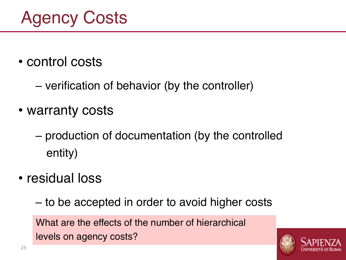- control costs
	- verification of behavior (by the controller)
- warranty costs
	- production of documentation (by the controlled entity)
- residual loss

– to be accepted in order to avoid higher costs

What are the effects of the number of hierarchical levels on agency costs?